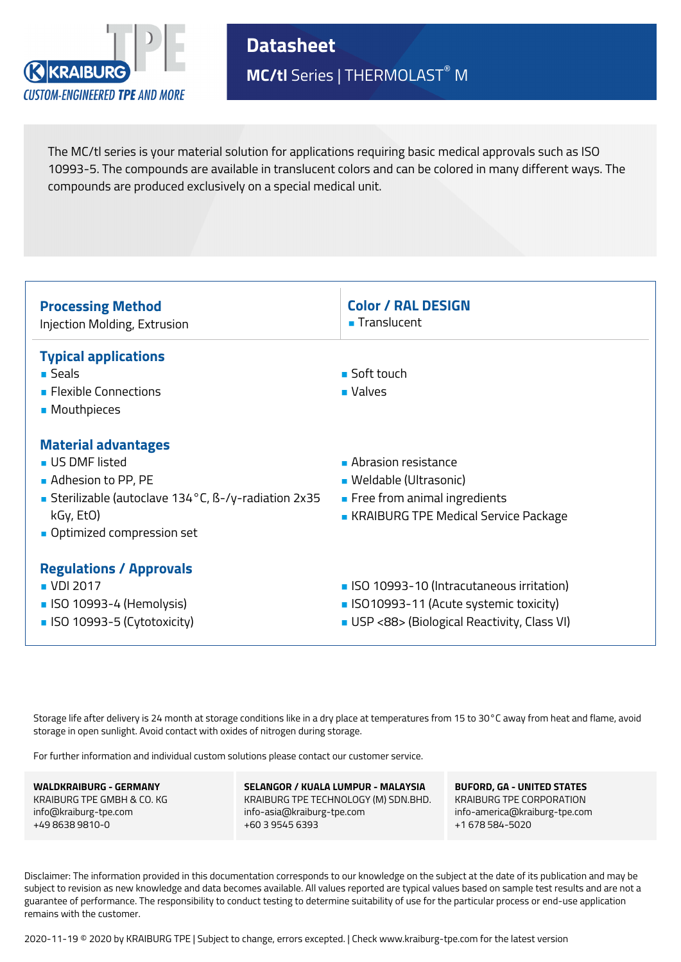

**Datasheet MC/tl** Series | THERMOLAST® M

The MC/tl series is your material solution for applications requiring basic medical approvals such as ISO 10993-5. The compounds are available in translucent colors and can be colored in many different ways. The compounds are produced exclusively on a special medical unit.



Storage life after delivery is 24 month at storage conditions like in a dry place at temperatures from 15 to 30°C away from heat and flame, avoid storage in open sunlight. Avoid contact with oxides of nitrogen during storage.

For further information and individual custom solutions please contact our customer service.

**WALDKRAIBURG - GERMANY** KRAIBURG TPE GMBH & CO. KG info@kraiburg-tpe.com +49 8638 9810-0

**SELANGOR / KUALA LUMPUR - MALAYSIA** KRAIBURG TPE TECHNOLOGY (M) SDN.BHD. info-asia@kraiburg-tpe.com +60 3 9545 6393

**BUFORD, GA - UNITED STATES** KRAIBURG TPE CORPORATION info-america@kraiburg-tpe.com +1 678 584-5020

Disclaimer: The information provided in this documentation corresponds to our knowledge on the subject at the date of its publication and may be subject to revision as new knowledge and data becomes available. All values reported are typical values based on sample test results and are not a guarantee of performance. The responsibility to conduct testing to determine suitability of use for the particular process or end-use application remains with the customer.

2020-11-19 © 2020 by KRAIBURG TPE | Subject to change, errors excepted. | Check www.kraiburg-tpe.com for the latest version